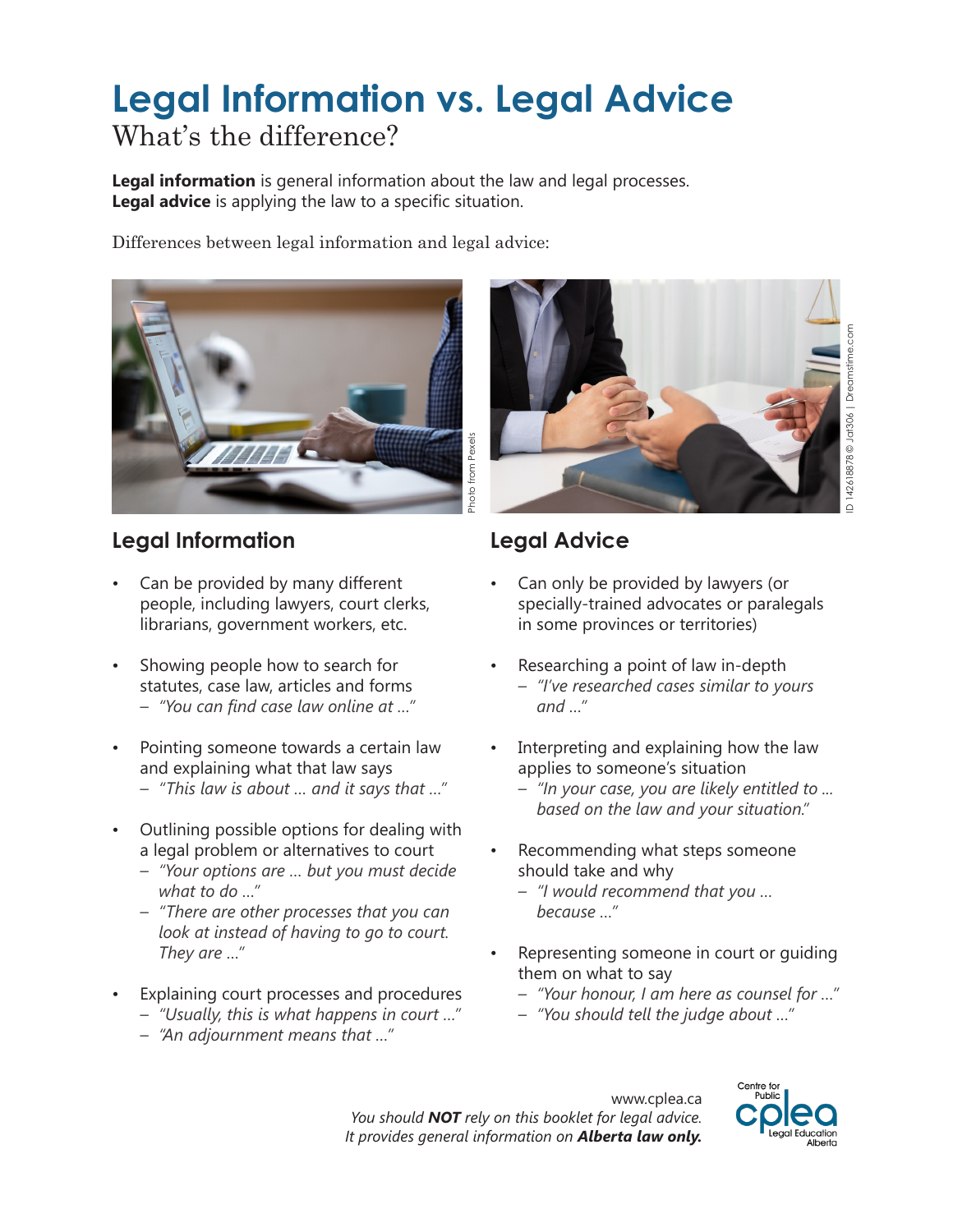# **Legal Information vs. Legal Advice** What's the difference?

**Legal information** is general information about the law and legal processes. **Legal advice** is applying the law to a specific situation.

Differences between legal information and legal advice:



#### **Legal Information**

- Can be provided by many different people, including lawyers, court clerks, librarians, government workers, etc.
- Showing people how to search for statutes, case law, articles and forms *– "You can find case law online at …"*
- Pointing someone towards a certain law and explaining what that law says
	- *– "This law is about … and it says that …"*
- Outlining possible options for dealing with a legal problem or alternatives to court
	- *– "Your options are … but you must decide what to do …"*
	- *– "There are other processes that you can look at instead of having to go to court. They are …"*
- Explaining court processes and procedures
	- *– "Usually, this is what happens in court …"*
	- *– "An adjournment means that …"*



## **Legal Advice**

- Can only be provided by lawyers (or specially-trained advocates or paralegals in some provinces or territories)
- Researching a point of law in-depth *– "I've researched cases similar to yours and …"*
- Interpreting and explaining how the law applies to someone's situation
	- *– "In your case, you are likely entitled to ... based on the law and your situation."*
- Recommending what steps someone should take and why
	- *– "I would recommend that you … because …"*
- Representing someone in court or guiding them on what to say
	- *– "Your honour, I am here as counsel for …"*
	- *– "You should tell the judge about …"*

www.cplea.ca *You should NOT rely on this booklet for legal advice.*